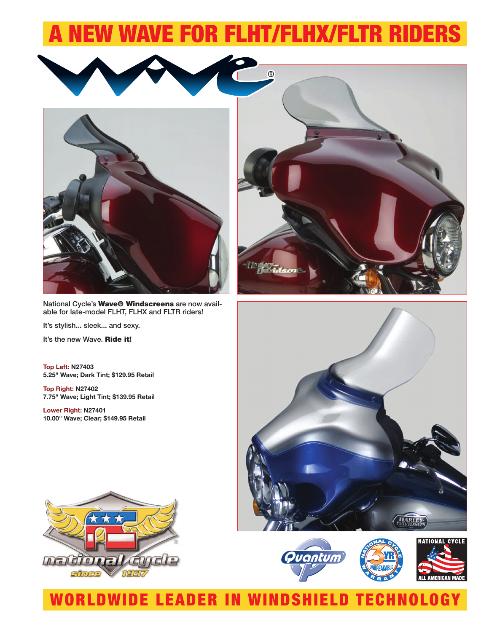## A NEW WAVE FOR FLHT/FLHX/FLTR RIDERS



National Cycle's **Wave® Windscreens** are now available for late-model FLHT, FLHX and FLTR riders!

It's stylish... sleek... and sexy.

It's the new Wave. **Ride it!**

**Top Left: N27403 5.25" Wave; Dark Tint; \$129.95 Retail**

**Top Right: N27402 7.75" Wave; Light Tint; \$139.95 Retail**

**Lower Right: N27401 10.00" Wave; Clear; \$149.95 Retail**









### WORLDWIDE LEADER IN WINDSHIELD TECHNOLOGY